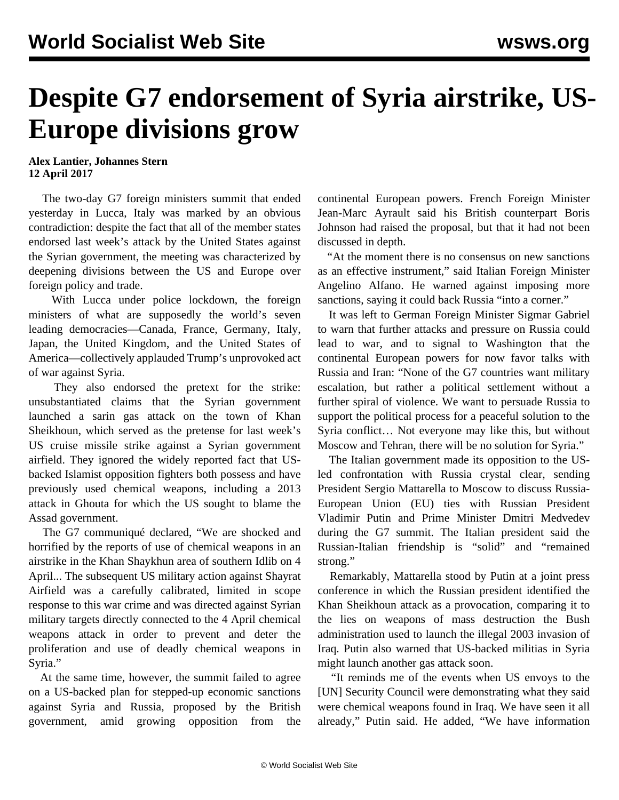## **Despite G7 endorsement of Syria airstrike, US-Europe divisions grow**

## **Alex Lantier, Johannes Stern 12 April 2017**

 The two-day G7 foreign ministers summit that ended yesterday in Lucca, Italy was marked by an obvious contradiction: despite the fact that all of the member states endorsed last week's attack by the United States against the Syrian government, the meeting was characterized by deepening divisions between the US and Europe over foreign policy and trade.

 With Lucca under police lockdown, the foreign ministers of what are supposedly the world's seven leading democracies—Canada, France, Germany, Italy, Japan, the United Kingdom, and the United States of America—collectively applauded Trump's unprovoked act of war against Syria.

 They also endorsed the pretext for the strike: unsubstantiated claims that the Syrian government launched a sarin gas attack on the town of Khan Sheikhoun, which served as the pretense for last week's US cruise missile strike against a Syrian government airfield. They ignored the widely reported fact that USbacked Islamist opposition fighters both possess and have previously used chemical weapons, including a 2013 attack in Ghouta for which the US sought to blame the Assad government.

 The G7 communiqué declared, "We are shocked and horrified by the reports of use of chemical weapons in an airstrike in the Khan Shaykhun area of southern Idlib on 4 April... The subsequent US military action against Shayrat Airfield was a carefully calibrated, limited in scope response to this war crime and was directed against Syrian military targets directly connected to the 4 April chemical weapons attack in order to prevent and deter the proliferation and use of deadly chemical weapons in Syria."

 At the same time, however, the summit failed to agree on a US-backed plan for stepped-up economic sanctions against Syria and Russia, proposed by the British government, amid growing opposition from the continental European powers. French Foreign Minister Jean-Marc Ayrault said his British counterpart Boris Johnson had raised the proposal, but that it had not been discussed in depth.

 "At the moment there is no consensus on new sanctions as an effective instrument," said Italian Foreign Minister Angelino Alfano. He warned against imposing more sanctions, saying it could back Russia "into a corner."

 It was left to German Foreign Minister Sigmar Gabriel to warn that further attacks and pressure on Russia could lead to war, and to signal to Washington that the continental European powers for now favor talks with Russia and Iran: "None of the G7 countries want military escalation, but rather a political settlement without a further spiral of violence. We want to persuade Russia to support the political process for a peaceful solution to the Syria conflict… Not everyone may like this, but without Moscow and Tehran, there will be no solution for Syria."

 The Italian government made its opposition to the USled confrontation with Russia crystal clear, sending President Sergio Mattarella to Moscow to discuss Russia-European Union (EU) ties with Russian President Vladimir Putin and Prime Minister Dmitri Medvedev during the G7 summit. The Italian president said the Russian-Italian friendship is "solid" and "remained strong."

 Remarkably, Mattarella stood by Putin at a joint press conference in which the Russian president identified the Khan Sheikhoun attack as a provocation, comparing it to the lies on weapons of mass destruction the Bush administration used to launch the illegal 2003 invasion of Iraq. Putin also warned that US-backed militias in Syria might launch another gas attack soon.

 "It reminds me of the events when US envoys to the [UN] Security Council were demonstrating what they said were chemical weapons found in Iraq. We have seen it all already," Putin said. He added, "We have information